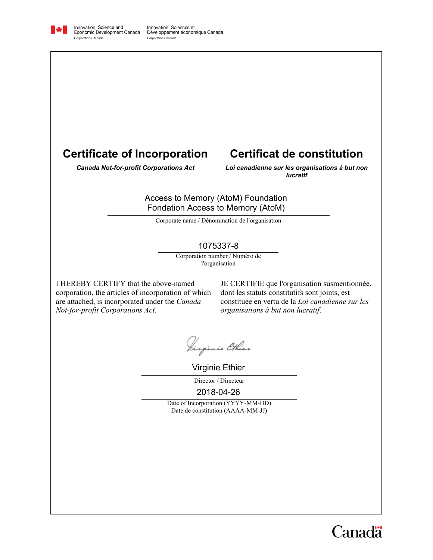

Innovation, Science and<br>Economic Development Canada Corporations Canada

Innovation, Sciences et Développement économique Canada Corporations Canada

# **Certificate of Incorporation**

# **Certificat de constitution**

*Canada Not-for-profit Corporations Act*

*Loi canadienne sur les organisations à but non lucratif*

#### Access to Memory (AtoM) Foundation Fondation Access to Memory (AtoM)

Corporate name / Dénomination de l'organisation

#### 1075337-8

Corporation number / Numéro de l'organisation

I HEREBY CERTIFY that the above-named corporation, the articles of incorporation of which are attached, is incorporated under the *Canada Not-for-profit Corporations Act*.

JE CERTIFIE que l'organisation susmentionnée, dont les statuts constitutifs sont joints, est constituée en vertu de la *Loi canadienne sur les organisations à but non lucratif*.

Iirginie Ethier

Virginie Ethier

Director / Directeur

2018-04-26

Date of Incorporation (YYYY-MM-DD) Date de constitution (AAAA-MM-JJ)

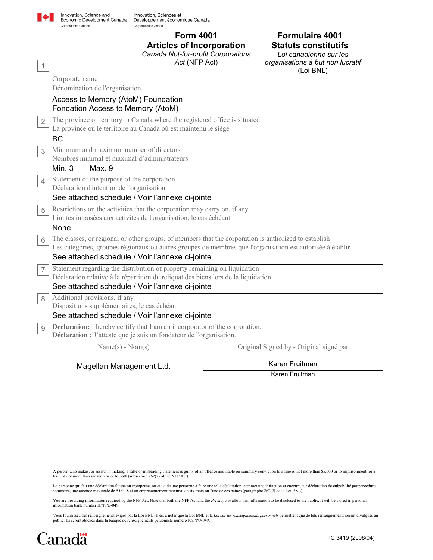

1

Innovation, Sciences et Développement économique Canada Corporations Canada

**Articles of Incorporation**

*Canada Not-for-profit Corporations*

*Act* (NFP Act)

**Form 4001**

## **Formulaire 4001 Statuts constitutifs**

*Loi canadienne sur les organisations à but non lucratif* (Loi BNL)

|                | Corporate name                                                                                            |                                         |  |
|----------------|-----------------------------------------------------------------------------------------------------------|-----------------------------------------|--|
|                | Dénomination de l'organisation                                                                            |                                         |  |
|                | Access to Memory (AtoM) Foundation                                                                        |                                         |  |
|                | Fondation Access to Memory (AtoM)                                                                         |                                         |  |
| $\overline{2}$ | The province or territory in Canada where the registered office is situated                               |                                         |  |
|                | La province ou le territoire au Canada où est maintenu le siège                                           |                                         |  |
|                | <b>BC</b>                                                                                                 |                                         |  |
| 3              | Minimum and maximum number of directors                                                                   |                                         |  |
|                | Nombres minimal et maximal d'administrateurs                                                              |                                         |  |
|                | Min. $3$<br>Max.9                                                                                         |                                         |  |
| 4              | Statement of the purpose of the corporation                                                               |                                         |  |
|                | Déclaration d'intention de l'organisation                                                                 |                                         |  |
|                | See attached schedule / Voir l'annexe ci-jointe                                                           |                                         |  |
| 5              | Restrictions on the activities that the corporation may carry on, if any                                  |                                         |  |
|                | Limites imposées aux activités de l'organisation, le cas échéant                                          |                                         |  |
|                | None                                                                                                      |                                         |  |
| 6              | The classes, or regional or other groups, of members that the corporation is authorized to establish      |                                         |  |
|                | Les catégories, groupes régionaux ou autres groupes de membres que l'organisation est autorisée à établir |                                         |  |
|                | See attached schedule / Voir l'annexe ci-jointe                                                           |                                         |  |
| $\overline{7}$ | Statement regarding the distribution of property remaining on liquidation                                 |                                         |  |
|                | Déclaration relative à la répartition du reliquat des biens lors de la liquidation                        |                                         |  |
|                | See attached schedule / Voir l'annexe ci-jointe                                                           |                                         |  |
| 8              | Additional provisions, if any                                                                             |                                         |  |
|                | Dispositions supplémentaires, le cas échéant                                                              |                                         |  |
|                | See attached schedule / Voir l'annexe ci-jointe                                                           |                                         |  |
| 9              | <b>Declaration:</b> I hereby certify that I am an incorporator of the corporation.                        |                                         |  |
|                | Déclaration : J'atteste que je suis un fondateur de l'organisation.                                       |                                         |  |
|                | $Name(s) - Nom(s)$                                                                                        | Original Signed by - Original signé par |  |

Magellan Management Ltd.

Karen Fruitman

Karen Fruitman

A person who makes, or assists in making, a false or misleading statement is guilty of an offence and liable on summary conviction to a fine of not more than \$5,000 or to imprisonment for a<br>term of not more than six months

La personne qui fait une déclaration fausse ou trompeuse, ou qui aide une personne à faire une telle déclaration, commet une infraction et encourt, sur déclaration de culpabilité par procédure<br>sommaire, une amende maximale

You are providing information required by the NFP Act. Note that both the NFP Act and the *Privacy Act* allow this information to be disclosed to the public. It will be stored in personal information bank number IC/PPU-049.

Vous fournissez des renseignements exigés par la Loi BNL. Il est à noter que la Loi BNL et la *Loi sur les renseignements personnels* permettent que de tels renseignements soient divulgués au public. Ils seront stockés dans la banque de renseignements personnels numéro IC/PPU-049.

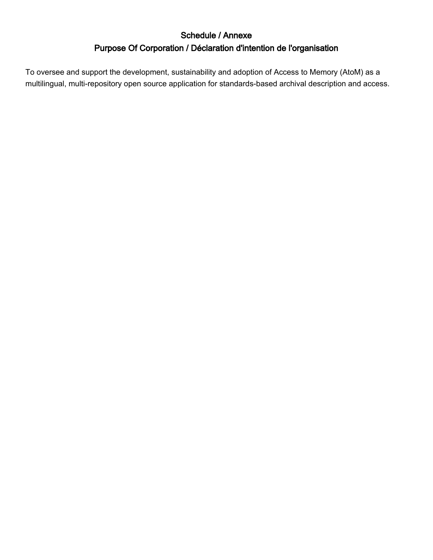# Schedule / Annexe Purpose Of Corporation / Déclaration d'intention de l'organisation

To oversee and support the development, sustainability and adoption of Access to Memory (AtoM) as a multilingual, multi-repository open source application for standards-based archival description and access.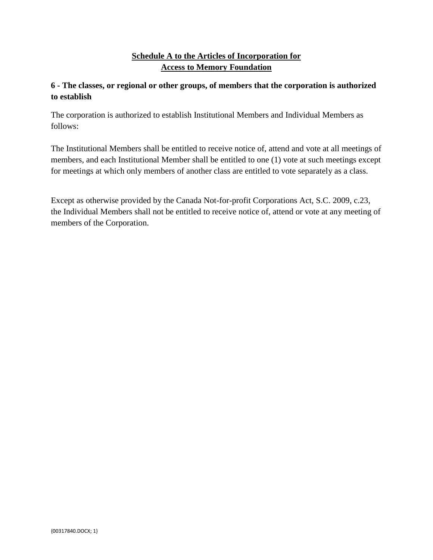#### **Schedule A to the Articles of Incorporation for Access to Memory Foundation**

#### **6 - The classes, or regional or other groups, of members that the corporation is authorized to establish**

The corporation is authorized to establish Institutional Members and Individual Members as follows:

The Institutional Members shall be entitled to receive notice of, attend and vote at all meetings of members, and each Institutional Member shall be entitled to one (1) vote at such meetings except for meetings at which only members of another class are entitled to vote separately as a class.

Except as otherwise provided by the Canada Not-for-profit Corporations Act, S.C. 2009, c.23, the Individual Members shall not be entitled to receive notice of, attend or vote at any meeting of members of the Corporation.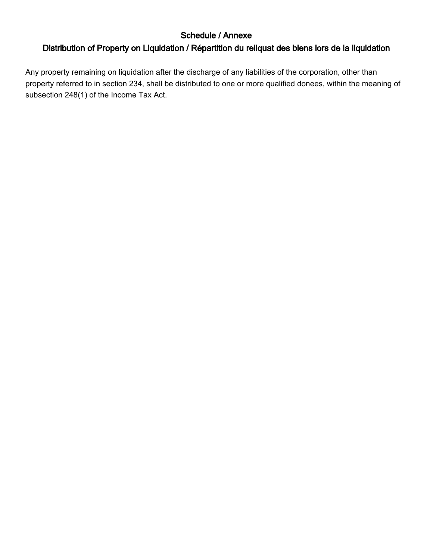## Schedule / Annexe

## Distribution of Property on Liquidation / Répartition du reliquat des biens lors de la liquidation

Any property remaining on liquidation after the discharge of any liabilities of the corporation, other than property referred to in section 234, shall be distributed to one or more qualified donees, within the meaning of subsection 248(1) of the Income Tax Act.